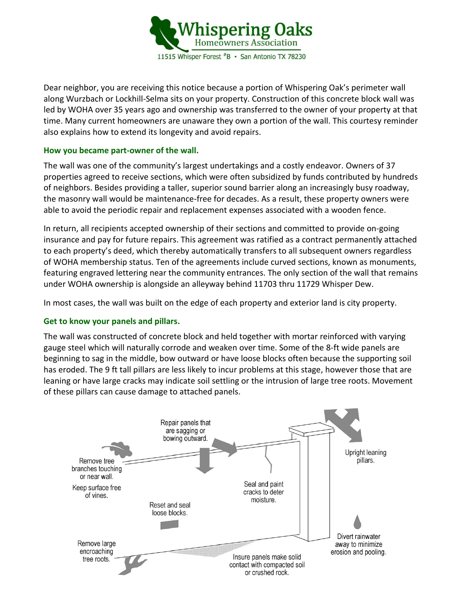

Dear neighbor, you are receiving this notice because a portion of Whispering Oak's perimeter wall along Wurzbach or Lockhill-Selma sits on your property. Construction of this concrete block wall was led by WOHA over 35 years ago and ownership was transferred to the owner of your property at that time. Many current homeowners are unaware they own a portion of the wall. This courtesy reminder also explains how to extend its longevity and avoid repairs.

## **How you became part-owner of the wall.**

The wall was one of the community's largest undertakings and a costly endeavor. Owners of 37 properties agreed to receive sections, which were often subsidized by funds contributed by hundreds of neighbors. Besides providing a taller, superior sound barrier along an increasingly busy roadway, the masonry wall would be maintenance-free for decades. As a result, these property owners were able to avoid the periodic repair and replacement expenses associated with a wooden fence.

In return, all recipients accepted ownership of their sections and committed to provide on-going insurance and pay for future repairs. This agreement was ratified as a contract permanently attached to each property's deed, which thereby automatically transfers to all subsequent owners regardless of WOHA membership status. Ten of the agreements include curved sections, known as monuments, featuring engraved lettering near the community entrances. The only section of the wall that remains under WOHA ownership is alongside an alleyway behind 11703 thru 11729 Whisper Dew.

In most cases, the wall was built on the edge of each property and exterior land is city property.

# **Get to know your panels and pillars.**

The wall was constructed of concrete block and held together with mortar reinforced with varying gauge steel which will naturally corrode and weaken over time. Some of the 8-ft wide panels are beginning to sag in the middle, bow outward or have loose blocks often because the supporting soil has eroded. The 9 ft tall pillars are less likely to incur problems at this stage, however those that are leaning or have large cracks may indicate soil settling or the intrusion of large tree roots. Movement of these pillars can cause damage to attached panels.